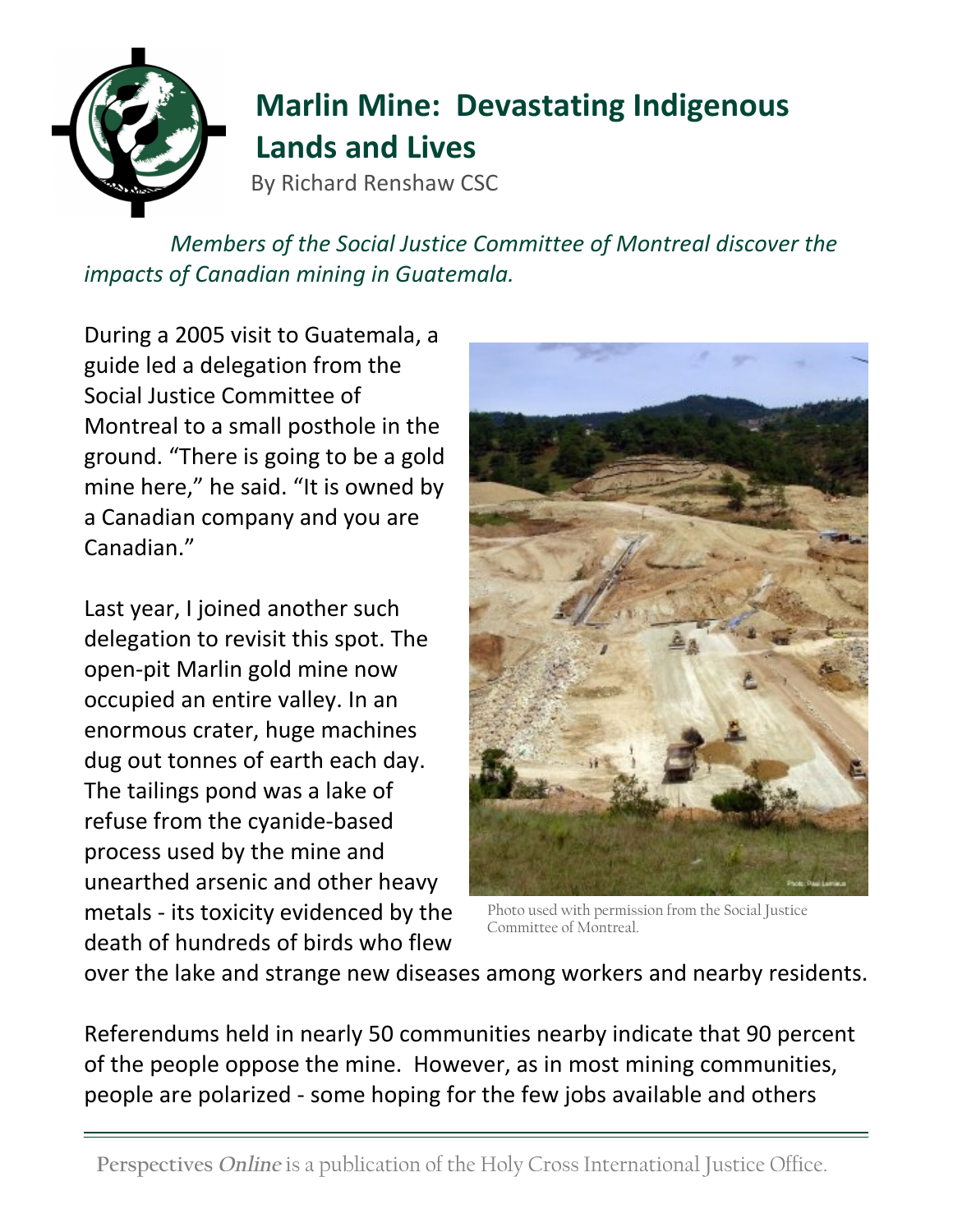

## **Marlin Mine: Devastating Indigenous Lands and Lives**

By Richard Renshaw CSC

*Members of the Social Justice Committee of Montreal discover the impacts of Canadian mining in Guatemala.*

During a 2005 visit to Guatemala, a guide led a delegation from the Social Justice Committee of Montreal to a small posthole in the ground. "There is going to be a gold mine here," he said. "It is owned by a Canadian company and you are Canadian."

Last year, I joined another such delegation to revisit this spot. The open-pit Marlin gold mine now occupied an entire valley. In an enormous crater, huge machines dug out tonnes of earth each day. The tailings pond was a lake of refuse from the cyanide-based process used by the mine and unearthed arsenic and other heavy metals - its toxicity evidenced by the death of hundreds of birds who flew



Photo used with permission from the Social Justice Committee of Montreal.

over the lake and strange new diseases among workers and nearby residents.

Referendums held in nearly 50 communities nearby indicate that 90 percent of the people oppose the mine. However, as in most mining communities, people are polarized - some hoping for the few jobs available and others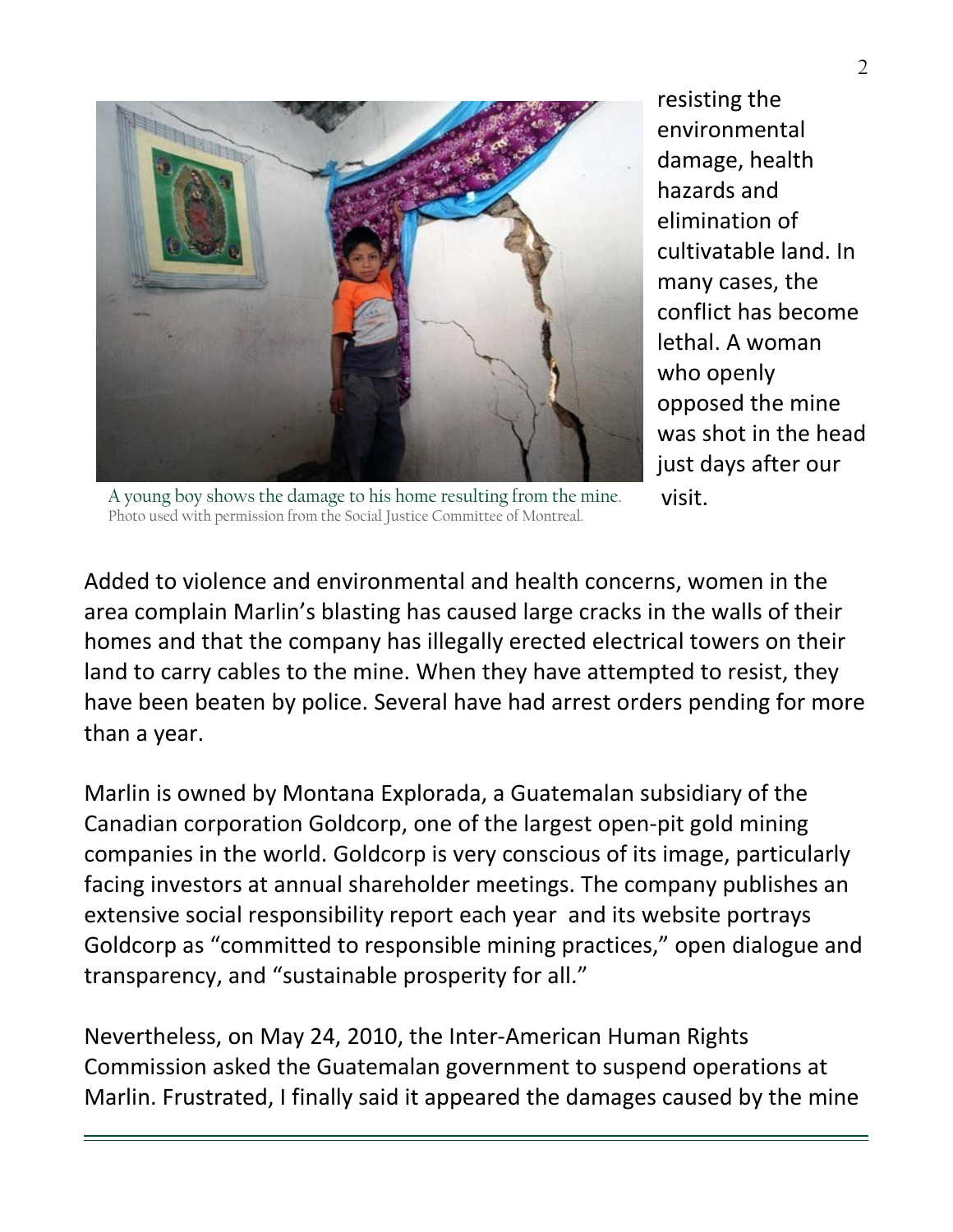

resisting the environmental damage, health hazards and elimination of cultivatable land. In many cases, the conflict has become lethal. A woman who openly opposed the mine was shot in the head just days after our visit.

A young boy shows the damage to his home resulting from the mine. Photo used with permission from the Social Justice Committee of Montreal.

Added to violence and environmental and health concerns, women in the area complain Marlin's blasting has caused large cracks in the walls of their homes and that the company has illegally erected electrical towers on their land to carry cables to the mine. When they have attempted to resist, they have been beaten by police. Several have had arrest orders pending for more than a year.

Marlin is owned by Montana Explorada, a Guatemalan subsidiary of the Canadian corporation Goldcorp, one of the largest open-pit gold mining companies in the world. Goldcorp is very conscious of its image, particularly facing investors at annual shareholder meetings. The company publishes an extensive social responsibility report each year and its website portrays Goldcorp as "committed to responsible mining practices," open dialogue and transparency, and "sustainable prosperity for all."

Nevertheless, on May 24, 2010, the Inter-American Human Rights Commission asked the Guatemalan government to suspend operations at Marlin. Frustrated, I finally said it appeared the damages caused by the mine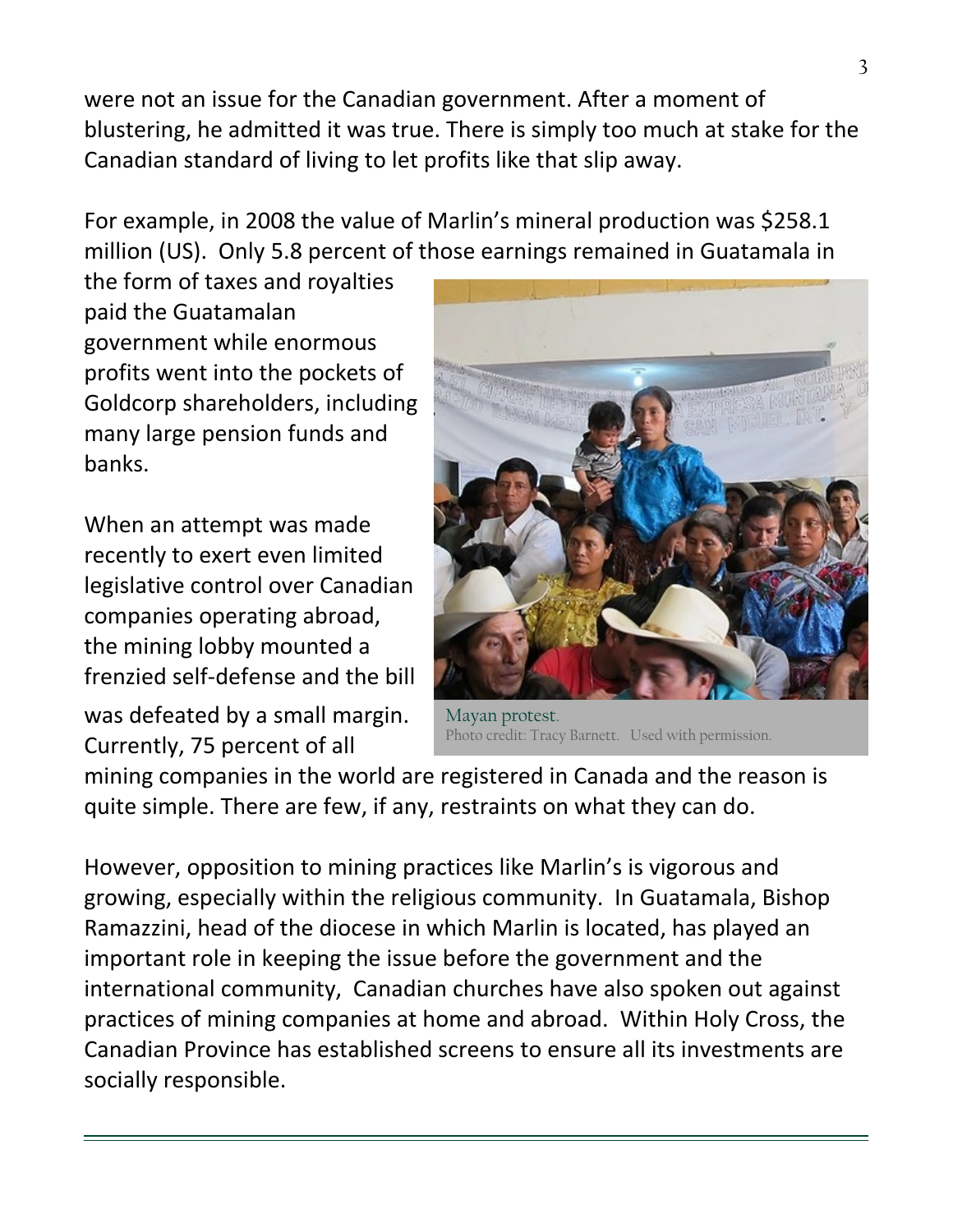were not an issue for the Canadian government. After a moment of blustering, he admitted it was true. There is simply too much at stake for the Canadian standard of living to let profits like that slip away.

For example, in 2008 the value of Marlin's mineral production was \$258.1 million (US). Only 5.8 percent of those earnings remained in Guatamala in

the form of taxes and royalties paid the Guatamalan government while enormous profits went into the pockets of Goldcorp shareholders, including many large pension funds and banks.

When an attempt was made recently to exert even limited legislative control over Canadian companies operating abroad, the mining lobby mounted a frenzied self-defense and the bill

was defeated by a small margin. Currently, 75 percent of all



Mayan protest. Photo credit: Tracy Barnett. Used with permission.

mining companies in the world are registered in Canada and the reason is quite simple. There are few, if any, restraints on what they can do.

However, opposition to mining practices like Marlin's is vigorous and growing, especially within the religious community. In Guatamala, Bishop Ramazzini, head of the diocese in which Marlin is located, has played an important role in keeping the issue before the government and the international community, Canadian churches have also spoken out against practices of mining companies at home and abroad. Within Holy Cross, the Canadian Province has established screens to ensure all its investments are socially responsible.